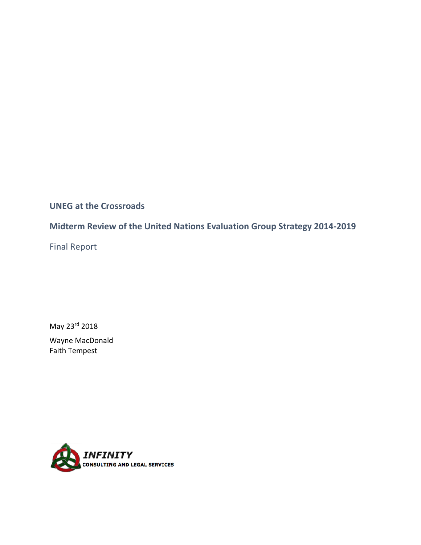# **UNEG at the Crossroads**

# **Midterm Review of the United Nations Evaluation Group Strategy 2014-2019**

Final Report

May 23rd 2018

Wayne MacDonald Faith Tempest

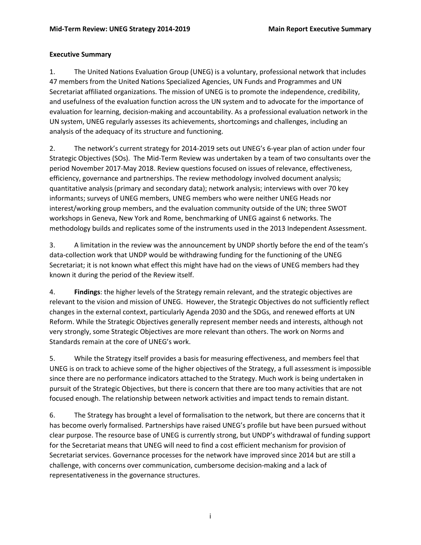## **Executive Summary**

1. The United Nations Evaluation Group (UNEG) is a voluntary, professional network that includes 47 members from the United Nations Specialized Agencies, UN Funds and Programmes and UN Secretariat affiliated organizations. The mission of UNEG is to promote the independence, credibility, and usefulness of the evaluation function across the UN system and to advocate for the importance of evaluation for learning, decision-making and accountability. As a professional evaluation network in the UN system, UNEG regularly assesses its achievements, shortcomings and challenges, including an analysis of the adequacy of its structure and functioning.

2. The network's current strategy for 2014-2019 sets out UNEG's 6-year plan of action under four Strategic Objectives (SOs). The Mid-Term Review was undertaken by a team of two consultants over the period November 2017-May 2018. Review questions focused on issues of relevance, effectiveness, efficiency, governance and partnerships. The review methodology involved document analysis; quantitative analysis (primary and secondary data); network analysis; interviews with over 70 key informants; surveys of UNEG members, UNEG members who were neither UNEG Heads nor interest/working group members, and the evaluation community outside of the UN; three SWOT workshops in Geneva, New York and Rome, benchmarking of UNEG against 6 networks. The methodology builds and replicates some of the instruments used in the 2013 Independent Assessment.

3. A limitation in the review was the announcement by UNDP shortly before the end of the team's data-collection work that UNDP would be withdrawing funding for the functioning of the UNEG Secretariat; it is not known what effect this might have had on the views of UNEG members had they known it during the period of the Review itself.

4. **Findings**: the higher levels of the Strategy remain relevant, and the strategic objectives are relevant to the vision and mission of UNEG. However, the Strategic Objectives do not sufficiently reflect changes in the external context, particularly Agenda 2030 and the SDGs, and renewed efforts at UN Reform. While the Strategic Objectives generally represent member needs and interests, although not very strongly, some Strategic Objectives are more relevant than others. The work on Norms and Standards remain at the core of UNEG's work.

5. While the Strategy itself provides a basis for measuring effectiveness, and members feel that UNEG is on track to achieve some of the higher objectives of the Strategy, a full assessment is impossible since there are no performance indicators attached to the Strategy. Much work is being undertaken in pursuit of the Strategic Objectives, but there is concern that there are too many activities that are not focused enough. The relationship between network activities and impact tends to remain distant.

6. The Strategy has brought a level of formalisation to the network, but there are concerns that it has become overly formalised. Partnerships have raised UNEG's profile but have been pursued without clear purpose. The resource base of UNEG is currently strong, but UNDP's withdrawal of funding support for the Secretariat means that UNEG will need to find a cost efficient mechanism for provision of Secretariat services. Governance processes for the network have improved since 2014 but are still a challenge, with concerns over communication, cumbersome decision-making and a lack of representativeness in the governance structures.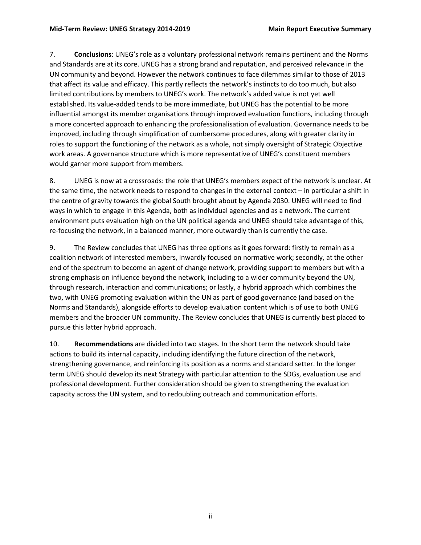7. **Conclusions**: UNEG's role as a voluntary professional network remains pertinent and the Norms and Standards are at its core. UNEG has a strong brand and reputation, and perceived relevance in the UN community and beyond. However the network continues to face dilemmas similar to those of 2013 that affect its value and efficacy. This partly reflects the network's instincts to do too much, but also limited contributions by members to UNEG's work. The network's added value is not yet well established. Its value-added tends to be more immediate, but UNEG has the potential to be more influential amongst its member organisations through improved evaluation functions, including through a more concerted approach to enhancing the professionalisation of evaluation. Governance needs to be improved, including through simplification of cumbersome procedures, along with greater clarity in roles to support the functioning of the network as a whole, not simply oversight of Strategic Objective work areas. A governance structure which is more representative of UNEG's constituent members would garner more support from members.

8. UNEG is now at a crossroads: the role that UNEG's members expect of the network is unclear. At the same time, the network needs to respond to changes in the external context – in particular a shift in the centre of gravity towards the global South brought about by Agenda 2030. UNEG will need to find ways in which to engage in this Agenda, both as individual agencies and as a network. The current environment puts evaluation high on the UN political agenda and UNEG should take advantage of this, re-focusing the network, in a balanced manner, more outwardly than is currently the case.

9. The Review concludes that UNEG has three options as it goes forward: firstly to remain as a coalition network of interested members, inwardly focused on normative work; secondly, at the other end of the spectrum to become an agent of change network, providing support to members but with a strong emphasis on influence beyond the network, including to a wider community beyond the UN, through research, interaction and communications; or lastly, a hybrid approach which combines the two, with UNEG promoting evaluation within the UN as part of good governance (and based on the Norms and Standards), alongside efforts to develop evaluation content which is of use to both UNEG members and the broader UN community. The Review concludes that UNEG is currently best placed to pursue this latter hybrid approach.

10. **Recommendations** are divided into two stages. In the short term the network should take actions to build its internal capacity, including identifying the future direction of the network, strengthening governance, and reinforcing its position as a norms and standard setter. In the longer term UNEG should develop its next Strategy with particular attention to the SDGs, evaluation use and professional development. Further consideration should be given to strengthening the evaluation capacity across the UN system, and to redoubling outreach and communication efforts.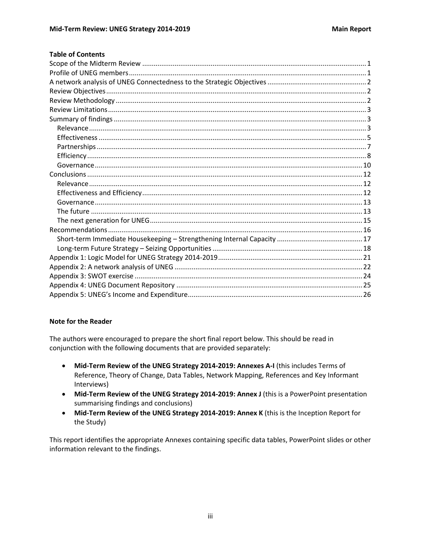|  | <b>Table of Contents</b> |
|--|--------------------------|
|  |                          |

#### **Note for the Reader**

The authors were encouraged to prepare the short final report below. This should be read in conjunction with the following documents that are provided separately:

- Mid-Term Review of the UNEG Strategy 2014-2019: Annexes A-I (this includes Terms of Reference, Theory of Change, Data Tables, Network Mapping, References and Key Informant Interviews)
- Mid-Term Review of the UNEG Strategy 2014-2019: Annex J (this is a PowerPoint presentation summarising findings and conclusions)
- Mid-Term Review of the UNEG Strategy 2014-2019: Annex K (this is the Inception Report for the Study)

This report identifies the appropriate Annexes containing specific data tables, PowerPoint slides or other information relevant to the findings.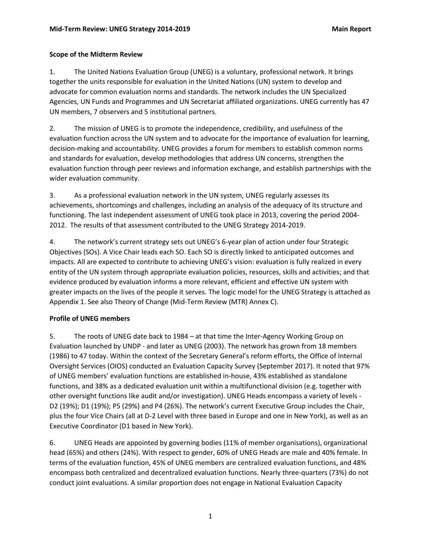## <span id="page-4-0"></span>**Scope of the Midterm Review**

1. The United Nations Evaluation Group (UNEG) is a voluntary, professional network. It brings together the units responsible for evaluation in the United Nations (UN) system to develop and advocate for common evaluation norms and standards. The network includes the UN Specialized Agencies, UN Funds and Programmes and UN Secretariat affiliated organizations. UNEG currently has 47 UN members, 7 observers and 5 institutional partners.

2. The mission of UNEG is to promote the independence, credibility, and usefulness of the evaluation function across the UN system and to advocate for the importance of evaluation for learning, decision-making and accountability. UNEG provides a forum for members to establish common norms and standards for evaluation, develop methodologies that address UN concerns, strengthen the evaluation function through peer reviews and information exchange, and establish partnerships with the wider evaluation community.

3. As a professional evaluation network in the UN system, UNEG regularly assesses its achievements, shortcomings and challenges, including an analysis of the adequacy of its structure and functioning. The last independent assessment of UNEG took place in 2013, covering the period 2004- 2012. The results of that assessment contributed to the UNEG Strategy 2014-2019.

4. The network's current strategy sets out UNEG's 6-year plan of action under four Strategic Objectives (SOs). A Vice Chair leads each SO. Each SO is directly linked to anticipated outcomes and impacts. All are expected to contribute to achieving UNEG's vision: evaluation is fully realized in every entity of the UN system through appropriate evaluation policies, resources, skills and activities; and that evidence produced by evaluation informs a more relevant, efficient and effective UN system with greater impacts on the lives of the people it serves. The logic model for the UNEG Strategy is attached as Appendix 1. See also Theory of Change (Mid-Term Review (MTR) Annex C).

## <span id="page-4-1"></span>**Profile of UNEG members**

5. The roots of UNEG date back to 1984 – at that time the Inter-Agency Working Group on Evaluation launched by UNDP - and later as UNEG (2003). The network has grown from 18 members (1986) to 47 today. Within the context of the Secretary General's reform efforts, the Office of Internal Oversight Services (OIOS) conducted an Evaluation Capacity Survey (September 2017). It noted that 97% of UNEG members' evaluation functions are established in-house, 43% established as standalone functions, and 38% as a dedicated evaluation unit within a multifunctional division (e.g. together with other oversight functions like audit and/or investigation). UNEG Heads encompass a variety of levels - D2 (19%); D1 (19%); P5 (29%) and P4 (26%). The network's current Executive Group includes the Chair, plus the four Vice Chairs (all at D-2 Level with three based in Europe and one in New York), as well as an Executive Coordinator (D1 based in New York).

6. UNEG Heads are appointed by governing bodies (11% of member organisations), organizational head (65%) and others (24%). With respect to gender, 60% of UNEG Heads are male and 40% female. In terms of the evaluation function, 45% of UNEG members are centralized evaluation functions, and 48% encompass both centralized and decentralized evaluation functions. Nearly three-quarters (73%) do not conduct joint evaluations. A similar proportion does not engage in National Evaluation Capacity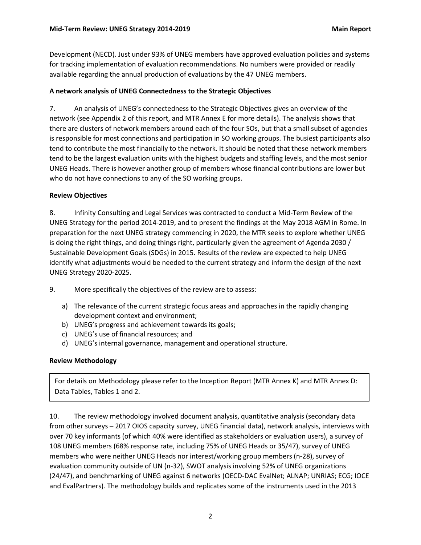Development (NECD). Just under 93% of UNEG members have approved evaluation policies and systems for tracking implementation of evaluation recommendations. No numbers were provided or readily available regarding the annual production of evaluations by the 47 UNEG members.

#### <span id="page-5-0"></span>**A network analysis of UNEG Connectedness to the Strategic Objectives**

7. An analysis of UNEG's connectedness to the Strategic Objectives gives an overview of the network (see Appendix 2 of this report, and MTR Annex E for more details). The analysis shows that there are clusters of network members around each of the four SOs, but that a small subset of agencies is responsible for most connections and participation in SO working groups. The busiest participants also tend to contribute the most financially to the network. It should be noted that these network members tend to be the largest evaluation units with the highest budgets and staffing levels, and the most senior UNEG Heads. There is however another group of members whose financial contributions are lower but who do not have connections to any of the SO working groups.

#### <span id="page-5-1"></span>**Review Objectives**

8. Infinity Consulting and Legal Services was contracted to conduct a Mid-Term Review of the UNEG Strategy for the period 2014-2019, and to present the findings at the May 2018 AGM in Rome. In preparation for the next UNEG strategy commencing in 2020, the MTR seeks to explore whether UNEG is doing the right things, and doing things right, particularly given the agreement of Agenda 2030 / Sustainable Development Goals (SDGs) in 2015. Results of the review are expected to help UNEG identify what adjustments would be needed to the current strategy and inform the design of the next UNEG Strategy 2020-2025.

- 9. More specifically the objectives of the review are to assess:
	- a) The relevance of the current strategic focus areas and approaches in the rapidly changing development context and environment;
	- b) UNEG's progress and achievement towards its goals;
	- c) UNEG's use of financial resources; and
	- d) UNEG's internal governance, management and operational structure.

## <span id="page-5-2"></span>**Review Methodology**

For details on Methodology please refer to the Inception Report (MTR Annex K) and MTR Annex D: Data Tables, Tables 1 and 2.

10. The review methodology involved document analysis, quantitative analysis (secondary data from other surveys – 2017 OIOS capacity survey, UNEG financial data), network analysis, interviews with over 70 key informants (of which 40% were identified as stakeholders or evaluation users), a survey of 108 UNEG members (68% response rate, including 75% of UNEG Heads or 35/47), survey of UNEG members who were neither UNEG Heads nor interest/working group members (n-28), survey of evaluation community outside of UN (n-32), SWOT analysis involving 52% of UNEG organizations (24/47), and benchmarking of UNEG against 6 networks (OECD-DAC EvalNet; ALNAP; UNRIAS; ECG; IOCE and EvalPartners). The methodology builds and replicates some of the instruments used in the 2013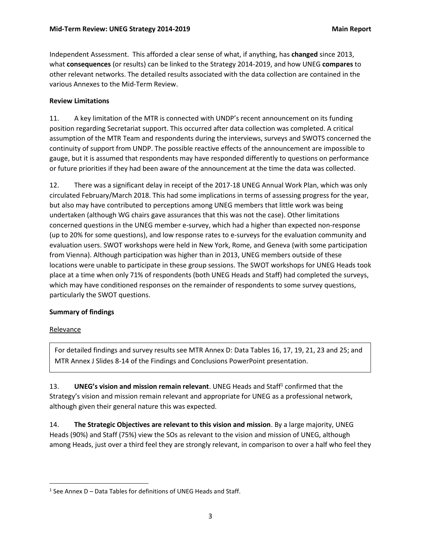Independent Assessment. This afforded a clear sense of what, if anything, has **changed** since 2013, what **consequences** (or results) can be linked to the Strategy 2014-2019, and how UNEG **compares** to other relevant networks. The detailed results associated with the data collection are contained in the various Annexes to the Mid-Term Review.

#### <span id="page-6-0"></span>**Review Limitations**

11. A key limitation of the MTR is connected with UNDP's recent announcement on its funding position regarding Secretariat support. This occurred after data collection was completed. A critical assumption of the MTR Team and respondents during the interviews, surveys and SWOTS concerned the continuity of support from UNDP. The possible reactive effects of the announcement are impossible to gauge, but it is assumed that respondents may have responded differently to questions on performance or future priorities if they had been aware of the announcement at the time the data was collected.

12. There was a significant delay in receipt of the 2017-18 UNEG Annual Work Plan, which was only circulated February/March 2018. This had some implications in terms of assessing progress for the year, but also may have contributed to perceptions among UNEG members that little work was being undertaken (although WG chairs gave assurances that this was not the case). Other limitations concerned questions in the UNEG member e-survey, which had a higher than expected non-response (up to 20% for some questions), and low response rates to e-surveys for the evaluation community and evaluation users. SWOT workshops were held in New York, Rome, and Geneva (with some participation from Vienna). Although participation was higher than in 2013, UNEG members outside of these locations were unable to participate in these group sessions. The SWOT workshops for UNEG Heads took place at a time when only 71% of respondents (both UNEG Heads and Staff) had completed the surveys, which may have conditioned responses on the remainder of respondents to some survey questions, particularly the SWOT questions.

#### <span id="page-6-1"></span>**Summary of findings**

#### <span id="page-6-2"></span>**Relevance**

 $\overline{\phantom{a}}$ 

For detailed findings and survey results see MTR Annex D: Data Tables 16, 17, 19, 21, 23 and 25; and MTR Annex J Slides 8-14 of the Findings and Conclusions PowerPoint presentation.

13. **UNEG's vision and mission remain relevant**. UNEG Heads and Staff<sup>1</sup> confirmed that the Strategy's vision and mission remain relevant and appropriate for UNEG as a professional network, although given their general nature this was expected.

14. **The Strategic Objectives are relevant to this vision and mission**. By a large majority, UNEG Heads (90%) and Staff (75%) view the SOs as relevant to the vision and mission of UNEG, although among Heads, just over a third feel they are strongly relevant, in comparison to over a half who feel they

 $<sup>1</sup>$  See Annex D – Data Tables for definitions of UNEG Heads and Staff.</sup>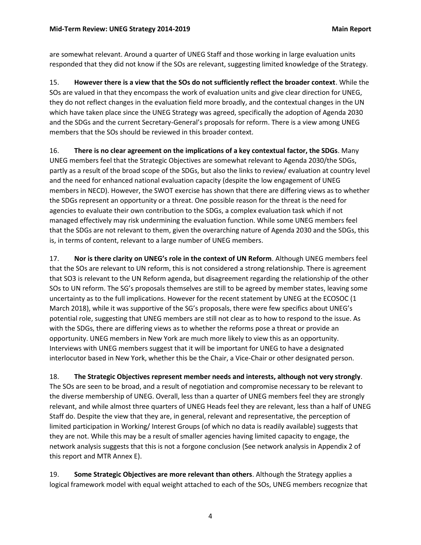are somewhat relevant. Around a quarter of UNEG Staff and those working in large evaluation units responded that they did not know if the SOs are relevant, suggesting limited knowledge of the Strategy.

15. **However there is a view that the SOs do not sufficiently reflect the broader context**. While the SOs are valued in that they encompass the work of evaluation units and give clear direction for UNEG, they do not reflect changes in the evaluation field more broadly, and the contextual changes in the UN which have taken place since the UNEG Strategy was agreed, specifically the adoption of Agenda 2030 and the SDGs and the current Secretary-General's proposals for reform. There is a view among UNEG members that the SOs should be reviewed in this broader context.

16. **There is no clear agreement on the implications of a key contextual factor, the SDGs**. Many UNEG members feel that the Strategic Objectives are somewhat relevant to Agenda 2030/the SDGs, partly as a result of the broad scope of the SDGs, but also the links to review/ evaluation at country level and the need for enhanced national evaluation capacity (despite the low engagement of UNEG members in NECD). However, the SWOT exercise has shown that there are differing views as to whether the SDGs represent an opportunity or a threat. One possible reason for the threat is the need for agencies to evaluate their own contribution to the SDGs, a complex evaluation task which if not managed effectively may risk undermining the evaluation function. While some UNEG members feel that the SDGs are not relevant to them, given the overarching nature of Agenda 2030 and the SDGs, this is, in terms of content, relevant to a large number of UNEG members.

17. **Nor is there clarity on UNEG's role in the context of UN Reform**. Although UNEG members feel that the SOs are relevant to UN reform, this is not considered a strong relationship. There is agreement that SO3 is relevant to the UN Reform agenda, but disagreement regarding the relationship of the other SOs to UN reform. The SG's proposals themselves are still to be agreed by member states, leaving some uncertainty as to the full implications. However for the recent statement by UNEG at the ECOSOC (1 March 2018), while it was supportive of the SG's proposals, there were few specifics about UNEG's potential role, suggesting that UNEG members are still not clear as to how to respond to the issue. As with the SDGs, there are differing views as to whether the reforms pose a threat or provide an opportunity. UNEG members in New York are much more likely to view this as an opportunity. Interviews with UNEG members suggest that it will be important for UNEG to have a designated interlocutor based in New York, whether this be the Chair, a Vice-Chair or other designated person.

18. **The Strategic Objectives represent member needs and interests, although not very strongly**. The SOs are seen to be broad, and a result of negotiation and compromise necessary to be relevant to the diverse membership of UNEG. Overall, less than a quarter of UNEG members feel they are strongly relevant, and while almost three quarters of UNEG Heads feel they are relevant, less than a half of UNEG Staff do. Despite the view that they are, in general, relevant and representative, the perception of limited participation in Working/ Interest Groups (of which no data is readily available) suggests that they are not. While this may be a result of smaller agencies having limited capacity to engage, the network analysis suggests that this is not a forgone conclusion (See network analysis in Appendix 2 of this report and MTR Annex E).

19. **Some Strategic Objectives are more relevant than others**. Although the Strategy applies a logical framework model with equal weight attached to each of the SOs, UNEG members recognize that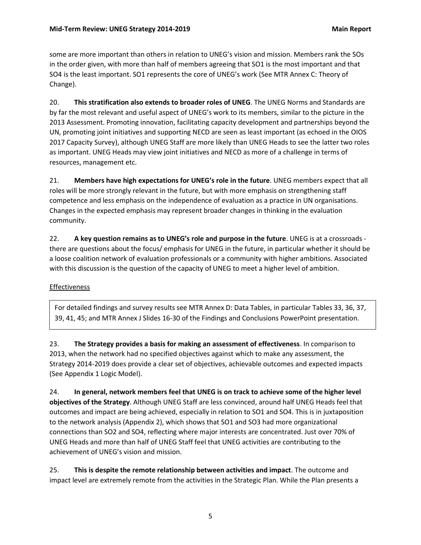some are more important than others in relation to UNEG's vision and mission. Members rank the SOs in the order given, with more than half of members agreeing that SO1 is the most important and that SO4 is the least important. SO1 represents the core of UNEG's work (See MTR Annex C: Theory of Change).

20. **This stratification also extends to broader roles of UNEG**. The UNEG Norms and Standards are by far the most relevant and useful aspect of UNEG's work to its members, similar to the picture in the 2013 Assessment. Promoting innovation, facilitating capacity development and partnerships beyond the UN, promoting joint initiatives and supporting NECD are seen as least important (as echoed in the OIOS 2017 Capacity Survey), although UNEG Staff are more likely than UNEG Heads to see the latter two roles as important. UNEG Heads may view joint initiatives and NECD as more of a challenge in terms of resources, management etc.

21. **Members have high expectations for UNEG's role in the future**. UNEG members expect that all roles will be more strongly relevant in the future, but with more emphasis on strengthening staff competence and less emphasis on the independence of evaluation as a practice in UN organisations. Changes in the expected emphasis may represent broader changes in thinking in the evaluation community.

22. **A key question remains as to UNEG's role and purpose in the future**. UNEG is at a crossroads there are questions about the focus/ emphasis for UNEG in the future, in particular whether it should be a loose coalition network of evaluation professionals or a community with higher ambitions. Associated with this discussion is the question of the capacity of UNEG to meet a higher level of ambition.

## <span id="page-8-0"></span>Effectiveness

For detailed findings and survey results see MTR Annex D: Data Tables, in particular Tables 33, 36, 37, 39, 41, 45; and MTR Annex J Slides 16-30 of the Findings and Conclusions PowerPoint presentation.

23. **The Strategy provides a basis for making an assessment of effectiveness**. In comparison to 2013, when the network had no specified objectives against which to make any assessment, the Strategy 2014-2019 does provide a clear set of objectives, achievable outcomes and expected impacts (See Appendix 1 Logic Model).

24. **In general, network members feel that UNEG is on track to achieve some of the higher level objectives of the Strategy**. Although UNEG Staff are less convinced, around half UNEG Heads feel that outcomes and impact are being achieved, especially in relation to SO1 and SO4. This is in juxtaposition to the network analysis (Appendix 2), which shows that SO1 and SO3 had more organizational connections than SO2 and SO4, reflecting where major interests are concentrated. Just over 70% of UNEG Heads and more than half of UNEG Staff feel that UNEG activities are contributing to the achievement of UNEG's vision and mission.

25. **This is despite the remote relationship between activities and impact**. The outcome and impact level are extremely remote from the activities in the Strategic Plan. While the Plan presents a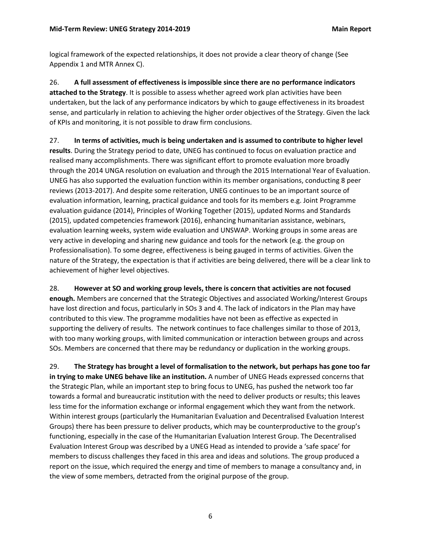logical framework of the expected relationships, it does not provide a clear theory of change (See Appendix 1 and MTR Annex C).

26. **A full assessment of effectiveness is impossible since there are no performance indicators attached to the Strategy**. It is possible to assess whether agreed work plan activities have been undertaken, but the lack of any performance indicators by which to gauge effectiveness in its broadest sense, and particularly in relation to achieving the higher order objectives of the Strategy. Given the lack of KPIs and monitoring, it is not possible to draw firm conclusions.

27. **In terms of activities, much is being undertaken and is assumed to contribute to higher level results**. During the Strategy period to date, UNEG has continued to focus on evaluation practice and realised many accomplishments. There was significant effort to promote evaluation more broadly through the 2014 UNGA resolution on evaluation and through the 2015 International Year of Evaluation. UNEG has also supported the evaluation function within its member organisations, conducting 8 peer reviews (2013-2017). And despite some reiteration, UNEG continues to be an important source of evaluation information, learning, practical guidance and tools for its members e.g. Joint Programme evaluation guidance (2014), Principles of Working Together (2015), updated Norms and Standards (2015), updated competencies framework (2016), enhancing humanitarian assistance, webinars, evaluation learning weeks, system wide evaluation and UNSWAP. Working groups in some areas are very active in developing and sharing new guidance and tools for the network (e.g. the group on Professionalisation). To some degree, effectiveness is being gauged in terms of activities. Given the nature of the Strategy, the expectation is that if activities are being delivered, there will be a clear link to achievement of higher level objectives.

28. **However at SO and working group levels, there is concern that activities are not focused enough.** Members are concerned that the Strategic Objectives and associated Working/Interest Groups have lost direction and focus, particularly in SOs 3 and 4. The lack of indicators in the Plan may have contributed to this view. The programme modalities have not been as effective as expected in supporting the delivery of results. The network continues to face challenges similar to those of 2013, with too many working groups, with limited communication or interaction between groups and across

SOs. Members are concerned that there may be redundancy or duplication in the working groups.

29. **The Strategy has brought a level of formalisation to the network, but perhaps has gone too far in trying to make UNEG behave like an institution.** A number of UNEG Heads expressed concerns that the Strategic Plan, while an important step to bring focus to UNEG, has pushed the network too far towards a formal and bureaucratic institution with the need to deliver products or results; this leaves less time for the information exchange or informal engagement which they want from the network. Within interest groups (particularly the Humanitarian Evaluation and Decentralised Evaluation Interest Groups) there has been pressure to deliver products, which may be counterproductive to the group's functioning, especially in the case of the Humanitarian Evaluation Interest Group. The Decentralised Evaluation Interest Group was described by a UNEG Head as intended to provide a 'safe space' for members to discuss challenges they faced in this area and ideas and solutions. The group produced a report on the issue, which required the energy and time of members to manage a consultancy and, in the view of some members, detracted from the original purpose of the group.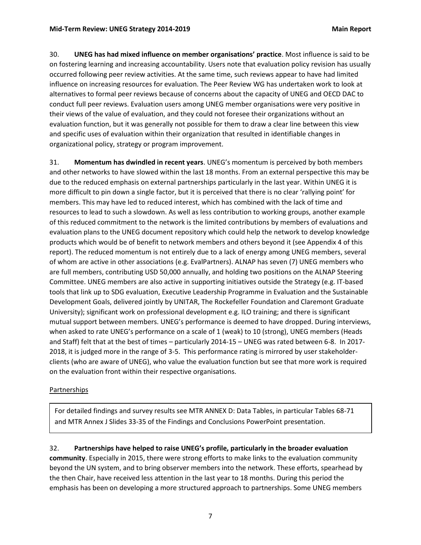30. **UNEG has had mixed influence on member organisations' practice**. Most influence is said to be on fostering learning and increasing accountability. Users note that evaluation policy revision has usually occurred following peer review activities. At the same time, such reviews appear to have had limited influence on increasing resources for evaluation. The Peer Review WG has undertaken work to look at alternatives to formal peer reviews because of concerns about the capacity of UNEG and OECD DAC to conduct full peer reviews. Evaluation users among UNEG member organisations were very positive in their views of the value of evaluation, and they could not foresee their organizations without an evaluation function, but it was generally not possible for them to draw a clear line between this view and specific uses of evaluation within their organization that resulted in identifiable changes in organizational policy, strategy or program improvement.

31. **Momentum has dwindled in recent years**. UNEG's momentum is perceived by both members and other networks to have slowed within the last 18 months. From an external perspective this may be due to the reduced emphasis on external partnerships particularly in the last year. Within UNEG it is more difficult to pin down a single factor, but it is perceived that there is no clear 'rallying point' for members. This may have led to reduced interest, which has combined with the lack of time and resources to lead to such a slowdown. As well as less contribution to working groups, another example of this reduced commitment to the network is the limited contributions by members of evaluations and evaluation plans to the UNEG document repository which could help the network to develop knowledge products which would be of benefit to network members and others beyond it (see Appendix 4 of this report). The reduced momentum is not entirely due to a lack of energy among UNEG members, several of whom are active in other associations (e.g. EvalPartners). ALNAP has seven (7) UNEG members who are full members, contributing USD 50,000 annually, and holding two positions on the ALNAP Steering Committee. UNEG members are also active in supporting initiatives outside the Strategy (e.g. IT-based tools that link up to SDG evaluation, Executive Leadership Programme in Evaluation and the Sustainable Development Goals, delivered jointly by UNITAR, The Rockefeller Foundation and Claremont Graduate University); significant work on professional development e.g. ILO training; and there is significant mutual support between members. UNEG's performance is deemed to have dropped. During interviews, when asked to rate UNEG's performance on a scale of 1 (weak) to 10 (strong), UNEG members (Heads and Staff) felt that at the best of times – particularly 2014-15 – UNEG was rated between 6-8. In 2017- 2018, it is judged more in the range of 3-5. This performance rating is mirrored by user stakeholderclients (who are aware of UNEG), who value the evaluation function but see that more work is required on the evaluation front within their respective organisations.

#### <span id="page-10-0"></span>Partnerships

For detailed findings and survey results see MTR ANNEX D: Data Tables, in particular Tables 68-71 and MTR Annex J Slides 33-35 of the Findings and Conclusions PowerPoint presentation.

32. **Partnerships have helped to raise UNEG's profile, particularly in the broader evaluation community**. Especially in 2015, there were strong efforts to make links to the evaluation community beyond the UN system, and to bring observer members into the network. These efforts, spearhead by the then Chair, have received less attention in the last year to 18 months. During this period the emphasis has been on developing a more structured approach to partnerships. Some UNEG members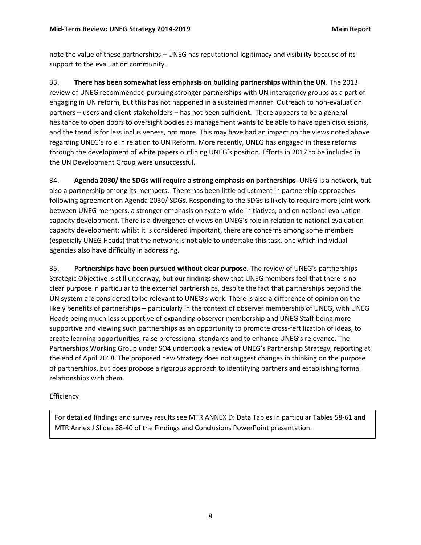note the value of these partnerships – UNEG has reputational legitimacy and visibility because of its support to the evaluation community.

33. **There has been somewhat less emphasis on building partnerships within the UN**. The 2013 review of UNEG recommended pursuing stronger partnerships with UN interagency groups as a part of engaging in UN reform, but this has not happened in a sustained manner. Outreach to non-evaluation partners – users and client-stakeholders – has not been sufficient. There appears to be a general hesitance to open doors to oversight bodies as management wants to be able to have open discussions, and the trend is for less inclusiveness, not more. This may have had an impact on the views noted above regarding UNEG's role in relation to UN Reform. More recently, UNEG has engaged in these reforms through the development of white papers outlining UNEG's position. Efforts in 2017 to be included in the UN Development Group were unsuccessful.

34. **Agenda 2030/ the SDGs will require a strong emphasis on partnerships**. UNEG is a network, but also a partnership among its members. There has been little adjustment in partnership approaches following agreement on Agenda 2030/ SDGs. Responding to the SDGs is likely to require more joint work between UNEG members, a stronger emphasis on system-wide initiatives, and on national evaluation capacity development. There is a divergence of views on UNEG's role in relation to national evaluation capacity development: whilst it is considered important, there are concerns among some members (especially UNEG Heads) that the network is not able to undertake this task, one which individual agencies also have difficulty in addressing.

35. **Partnerships have been pursued without clear purpose**. The review of UNEG's partnerships Strategic Objective is still underway, but our findings show that UNEG members feel that there is no clear purpose in particular to the external partnerships, despite the fact that partnerships beyond the UN system are considered to be relevant to UNEG's work. There is also a difference of opinion on the likely benefits of partnerships – particularly in the context of observer membership of UNEG, with UNEG Heads being much less supportive of expanding observer membership and UNEG Staff being more supportive and viewing such partnerships as an opportunity to promote cross-fertilization of ideas, to create learning opportunities, raise professional standards and to enhance UNEG's relevance. The Partnerships Working Group under SO4 undertook a review of UNEG's Partnership Strategy, reporting at the end of April 2018. The proposed new Strategy does not suggest changes in thinking on the purpose of partnerships, but does propose a rigorous approach to identifying partners and establishing formal relationships with them.

## <span id="page-11-0"></span>**Efficiency**

For detailed findings and survey results see MTR ANNEX D: Data Tables in particular Tables 58-61 and MTR Annex J Slides 38-40 of the Findings and Conclusions PowerPoint presentation.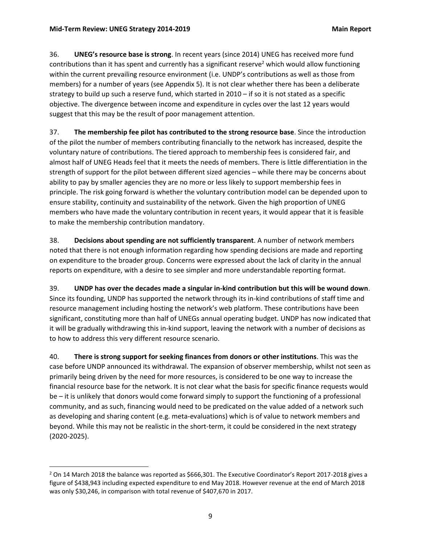$\overline{a}$ 

36. **UNEG's resource base is strong**. In recent years (since 2014) UNEG has received more fund contributions than it has spent and currently has a significant reserve<sup>2</sup> which would allow functioning within the current prevailing resource environment (i.e. UNDP's contributions as well as those from members) for a number of years (see Appendix 5). It is not clear whether there has been a deliberate strategy to build up such a reserve fund, which started in 2010 – if so it is not stated as a specific objective. The divergence between income and expenditure in cycles over the last 12 years would suggest that this may be the result of poor management attention.

37. **The membership fee pilot has contributed to the strong resource base**. Since the introduction of the pilot the number of members contributing financially to the network has increased, despite the voluntary nature of contributions. The tiered approach to membership fees is considered fair, and almost half of UNEG Heads feel that it meets the needs of members. There is little differentiation in the strength of support for the pilot between different sized agencies – while there may be concerns about ability to pay by smaller agencies they are no more or less likely to support membership fees in principle. The risk going forward is whether the voluntary contribution model can be depended upon to ensure stability, continuity and sustainability of the network. Given the high proportion of UNEG members who have made the voluntary contribution in recent years, it would appear that it is feasible to make the membership contribution mandatory.

38. **Decisions about spending are not sufficiently transparent**. A number of network members noted that there is not enough information regarding how spending decisions are made and reporting on expenditure to the broader group. Concerns were expressed about the lack of clarity in the annual reports on expenditure, with a desire to see simpler and more understandable reporting format.

39. **UNDP has over the decades made a singular in-kind contribution but this will be wound down**. Since its founding, UNDP has supported the network through its in-kind contributions of staff time and resource management including hosting the network's web platform. These contributions have been significant, constituting more than half of UNEGs annual operating budget. UNDP has now indicated that it will be gradually withdrawing this in-kind support, leaving the network with a number of decisions as to how to address this very different resource scenario.

40. **There is strong support for seeking finances from donors or other institutions**. This was the case before UNDP announced its withdrawal. The expansion of observer membership, whilst not seen as primarily being driven by the need for more resources, is considered to be one way to increase the financial resource base for the network. It is not clear what the basis for specific finance requests would be – it is unlikely that donors would come forward simply to support the functioning of a professional community, and as such, financing would need to be predicated on the value added of a network such as developing and sharing content (e.g. meta-evaluations) which is of value to network members and beyond. While this may not be realistic in the short-term, it could be considered in the next strategy (2020-2025).

<sup>&</sup>lt;sup>2</sup> On 14 March 2018 the balance was reported as \$666,301. The Executive Coordinator's Report 2017-2018 gives a figure of \$438,943 including expected expenditure to end May 2018. However revenue at the end of March 2018 was only \$30,246, in comparison with total revenue of \$407,670 in 2017.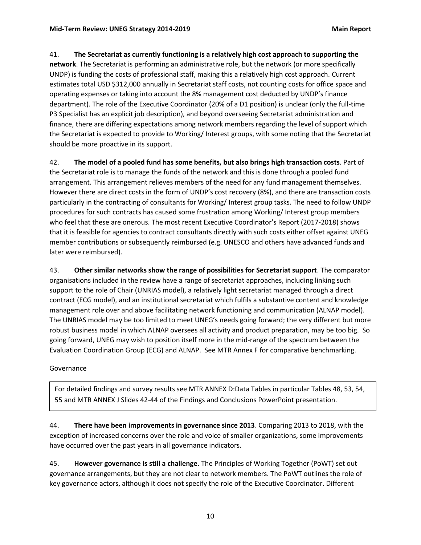41. **The Secretariat as currently functioning is a relatively high cost approach to supporting the network**. The Secretariat is performing an administrative role, but the network (or more specifically UNDP) is funding the costs of professional staff, making this a relatively high cost approach. Current estimates total USD \$312,000 annually in Secretariat staff costs, not counting costs for office space and operating expenses or taking into account the 8% management cost deducted by UNDP's finance department). The role of the Executive Coordinator (20% of a D1 position) is unclear (only the full-time P3 Specialist has an explicit job description), and beyond overseeing Secretariat administration and finance, there are differing expectations among network members regarding the level of support which the Secretariat is expected to provide to Working/ Interest groups, with some noting that the Secretariat should be more proactive in its support.

42. **The model of a pooled fund has some benefits, but also brings high transaction costs**. Part of the Secretariat role is to manage the funds of the network and this is done through a pooled fund arrangement. This arrangement relieves members of the need for any fund management themselves. However there are direct costs in the form of UNDP's cost recovery (8%), and there are transaction costs particularly in the contracting of consultants for Working/ Interest group tasks. The need to follow UNDP procedures for such contracts has caused some frustration among Working/ Interest group members who feel that these are onerous. The most recent Executive Coordinator's Report (2017-2018) shows that it is feasible for agencies to contract consultants directly with such costs either offset against UNEG member contributions or subsequently reimbursed (e.g. UNESCO and others have advanced funds and later were reimbursed).

43. **Other similar networks show the range of possibilities for Secretariat support**. The comparator organisations included in the review have a range of secretariat approaches, including linking such support to the role of Chair (UNRIAS model), a relatively light secretariat managed through a direct contract (ECG model), and an institutional secretariat which fulfils a substantive content and knowledge management role over and above facilitating network functioning and communication (ALNAP model). The UNRIAS model may be too limited to meet UNEG's needs going forward; the very different but more robust business model in which ALNAP oversees all activity and product preparation, may be too big. So going forward, UNEG may wish to position itself more in the mid-range of the spectrum between the Evaluation Coordination Group (ECG) and ALNAP. See MTR Annex F for comparative benchmarking.

## <span id="page-13-0"></span>Governance

For detailed findings and survey results see MTR ANNEX D:Data Tables in particular Tables 48, 53, 54, 55 and MTR ANNEX J Slides 42-44 of the Findings and Conclusions PowerPoint presentation.

44. **There have been improvements in governance since 2013**. Comparing 2013 to 2018, with the exception of increased concerns over the role and voice of smaller organizations, some improvements have occurred over the past years in all governance indicators.

45. **However governance is still a challenge.** The Principles of Working Together (PoWT) set out governance arrangements, but they are not clear to network members. The PoWT outlines the role of key governance actors, although it does not specify the role of the Executive Coordinator. Different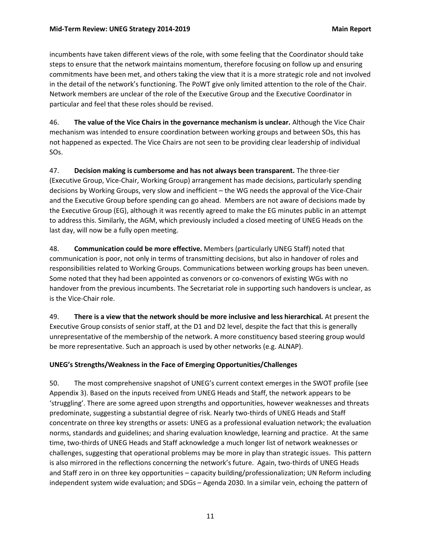incumbents have taken different views of the role, with some feeling that the Coordinator should take steps to ensure that the network maintains momentum, therefore focusing on follow up and ensuring commitments have been met, and others taking the view that it is a more strategic role and not involved in the detail of the network's functioning. The PoWT give only limited attention to the role of the Chair. Network members are unclear of the role of the Executive Group and the Executive Coordinator in particular and feel that these roles should be revised.

46. **The value of the Vice Chairs in the governance mechanism is unclear.** Although the Vice Chair mechanism was intended to ensure coordination between working groups and between SOs, this has not happened as expected. The Vice Chairs are not seen to be providing clear leadership of individual SOs.

47. **Decision making is cumbersome and has not always been transparent.** The three-tier (Executive Group, Vice-Chair, Working Group) arrangement has made decisions, particularly spending decisions by Working Groups, very slow and inefficient – the WG needs the approval of the Vice-Chair and the Executive Group before spending can go ahead. Members are not aware of decisions made by the Executive Group (EG), although it was recently agreed to make the EG minutes public in an attempt to address this. Similarly, the AGM, which previously included a closed meeting of UNEG Heads on the last day, will now be a fully open meeting.

48. **Communication could be more effective.** Members (particularly UNEG Staff) noted that communication is poor, not only in terms of transmitting decisions, but also in handover of roles and responsibilities related to Working Groups. Communications between working groups has been uneven. Some noted that they had been appointed as convenors or co-convenors of existing WGs with no handover from the previous incumbents. The Secretariat role in supporting such handovers is unclear, as is the Vice-Chair role.

49. **There is a view that the network should be more inclusive and less hierarchical.** At present the Executive Group consists of senior staff, at the D1 and D2 level, despite the fact that this is generally unrepresentative of the membership of the network. A more constituency based steering group would be more representative. Such an approach is used by other networks (e.g. ALNAP).

## **UNEG's Strengths/Weakness in the Face of Emerging Opportunities/Challenges**

50. The most comprehensive snapshot of UNEG's current context emerges in the SWOT profile (see Appendix 3). Based on the inputs received from UNEG Heads and Staff, the network appears to be 'struggling'. There are some agreed upon strengths and opportunities, however weaknesses and threats predominate, suggesting a substantial degree of risk. Nearly two-thirds of UNEG Heads and Staff concentrate on three key strengths or assets: UNEG as a professional evaluation network; the evaluation norms, standards and guidelines; and sharing evaluation knowledge, learning and practice. At the same time, two-thirds of UNEG Heads and Staff acknowledge a much longer list of network weaknesses or challenges, suggesting that operational problems may be more in play than strategic issues. This pattern is also mirrored in the reflections concerning the network's future. Again, two-thirds of UNEG Heads and Staff zero in on three key opportunities – capacity building/professionalization; UN Reform including independent system wide evaluation; and SDGs – Agenda 2030. In a similar vein, echoing the pattern of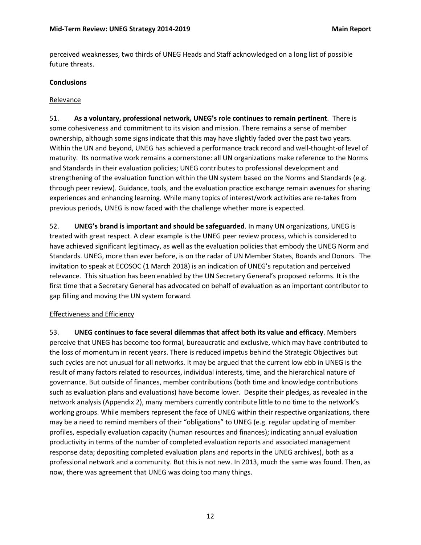perceived weaknesses, two thirds of UNEG Heads and Staff acknowledged on a long list of possible future threats.

#### <span id="page-15-0"></span>**Conclusions**

#### <span id="page-15-1"></span>Relevance

51. **As a voluntary, professional network, UNEG's role continues to remain pertinent**. There is some cohesiveness and commitment to its vision and mission. There remains a sense of member ownership, although some signs indicate that this may have slightly faded over the past two years. Within the UN and beyond, UNEG has achieved a performance track record and well-thought-of level of maturity. Its normative work remains a cornerstone: all UN organizations make reference to the Norms and Standards in their evaluation policies; UNEG contributes to professional development and strengthening of the evaluation function within the UN system based on the Norms and Standards (e.g. through peer review). Guidance, tools, and the evaluation practice exchange remain avenues for sharing experiences and enhancing learning. While many topics of interest/work activities are re-takes from previous periods, UNEG is now faced with the challenge whether more is expected.

52. **UNEG's brand is important and should be safeguarded**. In many UN organizations, UNEG is treated with great respect. A clear example is the UNEG peer review process, which is considered to have achieved significant legitimacy, as well as the evaluation policies that embody the UNEG Norm and Standards. UNEG, more than ever before, is on the radar of UN Member States, Boards and Donors. The invitation to speak at ECOSOC (1 March 2018) is an indication of UNEG's reputation and perceived relevance. This situation has been enabled by the UN Secretary General's proposed reforms. It is the first time that a Secretary General has advocated on behalf of evaluation as an important contributor to gap filling and moving the UN system forward.

#### <span id="page-15-2"></span>Effectiveness and Efficiency

53. **UNEG continues to face several dilemmas that affect both its value and efficacy**. Members perceive that UNEG has become too formal, bureaucratic and exclusive, which may have contributed to the loss of momentum in recent years. There is reduced impetus behind the Strategic Objectives but such cycles are not unusual for all networks. It may be argued that the current low ebb in UNEG is the result of many factors related to resources, individual interests, time, and the hierarchical nature of governance. But outside of finances, member contributions (both time and knowledge contributions such as evaluation plans and evaluations) have become lower. Despite their pledges, as revealed in the network analysis (Appendix 2), many members currently contribute little to no time to the network's working groups. While members represent the face of UNEG within their respective organizations, there may be a need to remind members of their "obligations" to UNEG (e.g. regular updating of member profiles, especially evaluation capacity (human resources and finances); indicating annual evaluation productivity in terms of the number of completed evaluation reports and associated management response data; depositing completed evaluation plans and reports in the UNEG archives), both as a professional network and a community. But this is not new. In 2013, much the same was found. Then, as now, there was agreement that UNEG was doing too many things.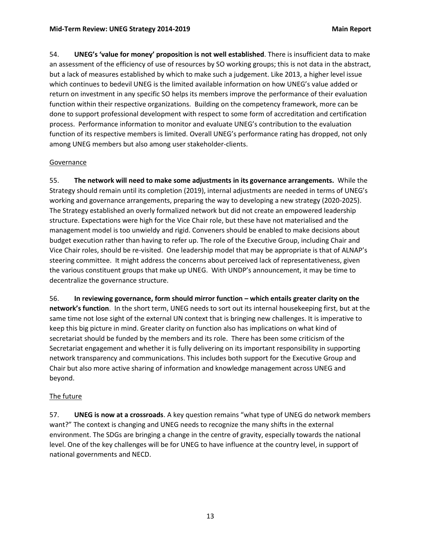54. **UNEG's 'value for money' proposition is not well established**. There is insufficient data to make an assessment of the efficiency of use of resources by SO working groups; this is not data in the abstract, but a lack of measures established by which to make such a judgement. Like 2013, a higher level issue which continues to bedevil UNEG is the limited available information on how UNEG's value added or return on investment in any specific SO helps its members improve the performance of their evaluation function within their respective organizations. Building on the competency framework, more can be done to support professional development with respect to some form of accreditation and certification process. Performance information to monitor and evaluate UNEG's contribution to the evaluation function of its respective members is limited. Overall UNEG's performance rating has dropped, not only among UNEG members but also among user stakeholder-clients.

#### <span id="page-16-0"></span>**Governance**

55. **The network will need to make some adjustments in its governance arrangements.** While the Strategy should remain until its completion (2019), internal adjustments are needed in terms of UNEG's working and governance arrangements, preparing the way to developing a new strategy (2020-2025). The Strategy established an overly formalized network but did not create an empowered leadership structure. Expectations were high for the Vice Chair role, but these have not materialised and the management model is too unwieldy and rigid. Conveners should be enabled to make decisions about budget execution rather than having to refer up. The role of the Executive Group, including Chair and Vice Chair roles, should be re-visited. One leadership model that may be appropriate is that of ALNAP's steering committee. It might address the concerns about perceived lack of representativeness, given the various constituent groups that make up UNEG. With UNDP's announcement, it may be time to decentralize the governance structure.

56. **In reviewing governance, form should mirror function – which entails greater clarity on the network's function**. In the short term, UNEG needs to sort out its internal housekeeping first, but at the same time not lose sight of the external UN context that is bringing new challenges. It is imperative to keep this big picture in mind. Greater clarity on function also has implications on what kind of secretariat should be funded by the members and its role. There has been some criticism of the Secretariat engagement and whether it is fully delivering on its important responsibility in supporting network transparency and communications. This includes both support for the Executive Group and Chair but also more active sharing of information and knowledge management across UNEG and beyond.

## <span id="page-16-1"></span>The future

57. **UNEG is now at a crossroads**. A key question remains "what type of UNEG do network members want?" The context is changing and UNEG needs to recognize the many shifts in the external environment. The SDGs are bringing a change in the centre of gravity, especially towards the national level. One of the key challenges will be for UNEG to have influence at the country level, in support of national governments and NECD.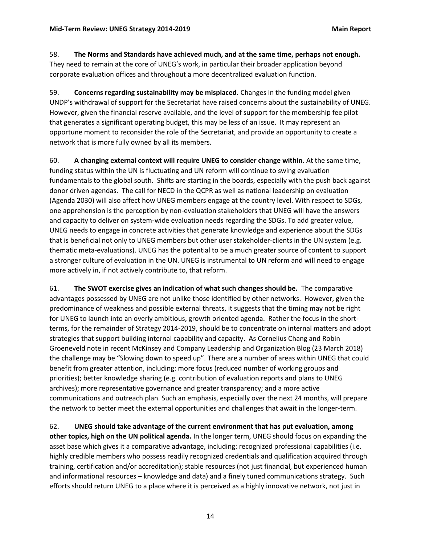58. **The Norms and Standards have achieved much, and at the same time, perhaps not enough.**  They need to remain at the core of UNEG's work, in particular their broader application beyond corporate evaluation offices and throughout a more decentralized evaluation function.

59. **Concerns regarding sustainability may be misplaced.** Changes in the funding model given UNDP's withdrawal of support for the Secretariat have raised concerns about the sustainability of UNEG. However, given the financial reserve available, and the level of support for the membership fee pilot that generates a significant operating budget, this may be less of an issue. It may represent an opportune moment to reconsider the role of the Secretariat, and provide an opportunity to create a network that is more fully owned by all its members.

60. **A changing external context will require UNEG to consider change within.** At the same time, funding status within the UN is fluctuating and UN reform will continue to swing evaluation fundamentals to the global south. Shifts are starting in the boards, especially with the push back against donor driven agendas. The call for NECD in the QCPR as well as national leadership on evaluation (Agenda 2030) will also affect how UNEG members engage at the country level. With respect to SDGs, one apprehension is the perception by non-evaluation stakeholders that UNEG will have the answers and capacity to deliver on system-wide evaluation needs regarding the SDGs. To add greater value, UNEG needs to engage in concrete activities that generate knowledge and experience about the SDGs that is beneficial not only to UNEG members but other user stakeholder-clients in the UN system (e.g. thematic meta-evaluations). UNEG has the potential to be a much greater source of content to support a stronger culture of evaluation in the UN. UNEG is instrumental to UN reform and will need to engage more actively in, if not actively contribute to, that reform.

61. **The SWOT exercise gives an indication of what such changes should be.** The comparative advantages possessed by UNEG are not unlike those identified by other networks. However, given the predominance of weakness and possible external threats, it suggests that the timing may not be right for UNEG to launch into an overly ambitious, growth oriented agenda. Rather the focus in the shortterms, for the remainder of Strategy 2014-2019, should be to concentrate on internal matters and adopt strategies that support building internal capability and capacity. As Cornelius Chang and Robin Groeneveld note in recent McKinsey and Company Leadership and Organization Blog (23 March 2018) the challenge may be "Slowing down to speed up". There are a number of areas within UNEG that could benefit from greater attention, including: more focus (reduced number of working groups and priorities); better knowledge sharing (e.g. contribution of evaluation reports and plans to UNEG archives); more representative governance and greater transparency; and a more active communications and outreach plan. Such an emphasis, especially over the next 24 months, will prepare the network to better meet the external opportunities and challenges that await in the longer-term.

62. **UNEG should take advantage of the current environment that has put evaluation, among other topics, high on the UN political agenda.** In the longer term, UNEG should focus on expanding the asset base which gives it a comparative advantage, including: recognized professional capabilities (i.e. highly credible members who possess readily recognized credentials and qualification acquired through training, certification and/or accreditation); stable resources (not just financial, but experienced human and informational resources – knowledge and data) and a finely tuned communications strategy. Such efforts should return UNEG to a place where it is perceived as a highly innovative network, not just in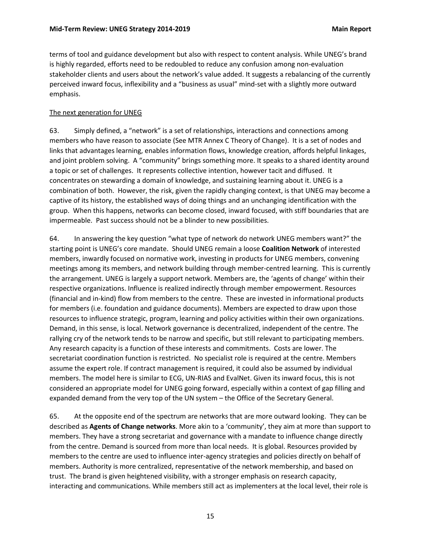terms of tool and guidance development but also with respect to content analysis. While UNEG's brand is highly regarded, efforts need to be redoubled to reduce any confusion among non-evaluation stakeholder clients and users about the network's value added. It suggests a rebalancing of the currently perceived inward focus, inflexibility and a "business as usual" mind-set with a slightly more outward emphasis.

#### <span id="page-18-0"></span>The next generation for UNEG

63. Simply defined, a "network" is a set of relationships, interactions and connections among members who have reason to associate (See MTR Annex C Theory of Change). It is a set of nodes and links that advantages learning, enables information flows, knowledge creation, affords helpful linkages, and joint problem solving. A "community" brings something more. It speaks to a shared identity around a topic or set of challenges. It represents collective intention, however tacit and diffused. It concentrates on stewarding a domain of knowledge, and sustaining learning about it. UNEG is a combination of both. However, the risk, given the rapidly changing context, is that UNEG may become a captive of its history, the established ways of doing things and an unchanging identification with the group. When this happens, networks can become closed, inward focused, with stiff boundaries that are impermeable. Past success should not be a blinder to new possibilities.

64. In answering the key question "what type of network do network UNEG members want?" the starting point is UNEG's core mandate. Should UNEG remain a loose **Coalition Network** of interested members, inwardly focused on normative work, investing in products for UNEG members, convening meetings among its members, and network building through member-centred learning. This is currently the arrangement. UNEG is largely a support network. Members are, the 'agents of change' within their respective organizations. Influence is realized indirectly through member empowerment. Resources (financial and in-kind) flow from members to the centre. These are invested in informational products for members (i.e. foundation and guidance documents). Members are expected to draw upon those resources to influence strategic, program, learning and policy activities within their own organizations. Demand, in this sense, is local. Network governance is decentralized, independent of the centre. The rallying cry of the network tends to be narrow and specific, but still relevant to participating members. Any research capacity is a function of these interests and commitments. Costs are lower. The secretariat coordination function is restricted. No specialist role is required at the centre. Members assume the expert role. If contract management is required, it could also be assumed by individual members. The model here is similar to ECG, UN-RIAS and EvalNet. Given its inward focus, this is not considered an appropriate model for UNEG going forward, especially within a context of gap filling and expanded demand from the very top of the UN system – the Office of the Secretary General.

65. At the opposite end of the spectrum are networks that are more outward looking. They can be described as **Agents of Change networks**. More akin to a 'community', they aim at more than support to members. They have a strong secretariat and governance with a mandate to influence change directly from the centre. Demand is sourced from more than local needs. It is global. Resources provided by members to the centre are used to influence inter-agency strategies and policies directly on behalf of members. Authority is more centralized, representative of the network membership, and based on trust. The brand is given heightened visibility, with a stronger emphasis on research capacity, interacting and communications. While members still act as implementers at the local level, their role is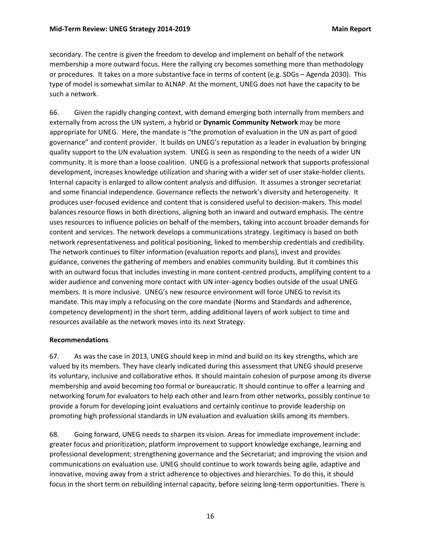secondary. The centre is given the freedom to develop and implement on behalf of the network membership a more outward focus. Here the rallying cry becomes something more than methodology or procedures. It takes on a more substantive face in terms of content (e.g. SDGs – Agenda 2030). This type of model is somewhat similar to ALNAP. At the moment, UNEG does not have the capacity to be such a network.

66. Given the rapidly changing context, with demand emerging both internally from members and externally from across the UN system, a hybrid or **Dynamic Community Network** may be more appropriate for UNEG. Here, the mandate is "the promotion of evaluation in the UN as part of good governance" and content provider. It builds on UNEG's reputation as a leader in evaluation by bringing quality support to the UN evaluation system. UNEG is seen as responding to the needs of a wider UN community. It is more than a loose coalition. UNEG is a professional network that supports professional development, increases knowledge utilization and sharing with a wider set of user stake-holder clients. Internal capacity is enlarged to allow content analysis and diffusion. It assumes a stronger secretariat and some financial independence. Governance reflects the network's diversity and heterogeneity. It produces user-focused evidence and content that is considered useful to decision-makers. This model balances resource flows in both directions, aligning both an inward and outward emphasis. The centre uses resources to influence policies on behalf of the members, taking into account broader demands for content and services. The network develops a communications strategy. Legitimacy is based on both network representativeness and political positioning, linked to membership credentials and credibility. The network continues to filter information (evaluation reports and plans), invest and provides guidance, convenes the gathering of members and enables community building. But it combines this with an outward focus that includes investing in more content-centred products, amplifying content to a wider audience and convening more contact with UN inter-agency bodies outside of the usual UNEG members. It is more inclusive. UNEG's new resource environment will force UNEG to revisit its mandate. This may imply a refocusing on the core mandate (Norms and Standards and adherence, competency development) in the short term, adding additional layers of work subject to time and resources available as the network moves into its next Strategy.

#### <span id="page-19-0"></span>**Recommendations**

67. As was the case in 2013, UNEG should keep in mind and build on its key strengths, which are valued by its members. They have clearly indicated during this assessment that UNEG should preserve its voluntary, inclusive and collaborative ethos. It should maintain cohesion of purpose among its diverse membership and avoid becoming too formal or bureaucratic. It should continue to offer a learning and networking forum for evaluators to help each other and learn from other networks, possibly continue to provide a forum for developing joint evaluations and certainly continue to provide leadership on promoting high professional standards in UN evaluation and evaluation skills among its members.

68. Going forward, UNEG needs to sharpen its vision. Areas for immediate improvement include: greater focus and prioritization; platform improvement to support knowledge exchange, learning and professional development; strengthening governance and the Secretariat; and improving the vision and communications on evaluation use. UNEG should continue to work towards being agile, adaptive and innovative, moving away from a strict adherence to objectives and hierarchies. To do this, it should focus in the short term on rebuilding internal capacity, before seizing long-term opportunities. There is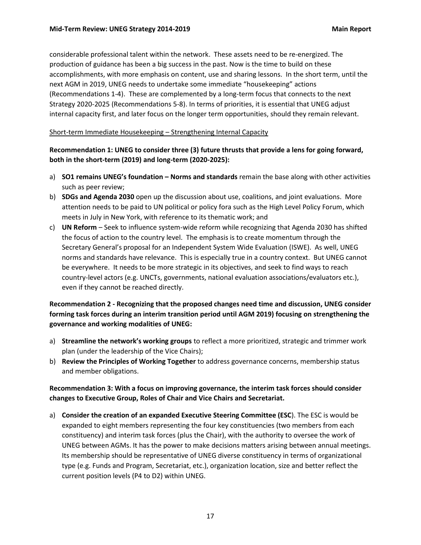considerable professional talent within the network. These assets need to be re-energized. The production of guidance has been a big success in the past. Now is the time to build on these accomplishments, with more emphasis on content, use and sharing lessons. In the short term, until the next AGM in 2019, UNEG needs to undertake some immediate "housekeeping" actions (Recommendations 1-4). These are complemented by a long-term focus that connects to the next Strategy 2020-2025 (Recommendations 5-8). In terms of priorities, it is essential that UNEG adjust internal capacity first, and later focus on the longer term opportunities, should they remain relevant.

#### <span id="page-20-0"></span>Short-term Immediate Housekeeping – Strengthening Internal Capacity

## **Recommendation 1: UNEG to consider three (3) future thrusts that provide a lens for going forward, both in the short-term (2019) and long-term (2020-2025):**

- a) **SO1 remains UNEG's foundation – Norms and standards** remain the base along with other activities such as peer review;
- b) **SDGs and Agenda 2030** open up the discussion about use, coalitions, and joint evaluations. More attention needs to be paid to UN political or policy fora such as the High Level Policy Forum, which meets in July in New York, with reference to its thematic work; and
- c) **UN Reform** Seek to influence system-wide reform while recognizing that Agenda 2030 has shifted the focus of action to the country level. The emphasis is to create momentum through the Secretary General's proposal for an Independent System Wide Evaluation (ISWE). As well, UNEG norms and standards have relevance. This is especially true in a country context. But UNEG cannot be everywhere. It needs to be more strategic in its objectives, and seek to find ways to reach country-level actors (e.g. UNCTs, governments, national evaluation associations/evaluators etc.), even if they cannot be reached directly.

## **Recommendation 2 - Recognizing that the proposed changes need time and discussion, UNEG consider forming task forces during an interim transition period until AGM 2019) focusing on strengthening the governance and working modalities of UNEG:**

- a) **Streamline the network's working groups** to reflect a more prioritized, strategic and trimmer work plan (under the leadership of the Vice Chairs);
- b) **Review the Principles of Working Together** to address governance concerns, membership status and member obligations.

## **Recommendation 3: With a focus on improving governance, the interim task forces should consider changes to Executive Group, Roles of Chair and Vice Chairs and Secretariat.**

a) **Consider the creation of an expanded Executive Steering Committee (ESC**). The ESC is would be expanded to eight members representing the four key constituencies (two members from each constituency) and interim task forces (plus the Chair), with the authority to oversee the work of UNEG between AGMs. It has the power to make decisions matters arising between annual meetings. Its membership should be representative of UNEG diverse constituency in terms of organizational type (e.g. Funds and Program, Secretariat, etc.), organization location, size and better reflect the current position levels (P4 to D2) within UNEG.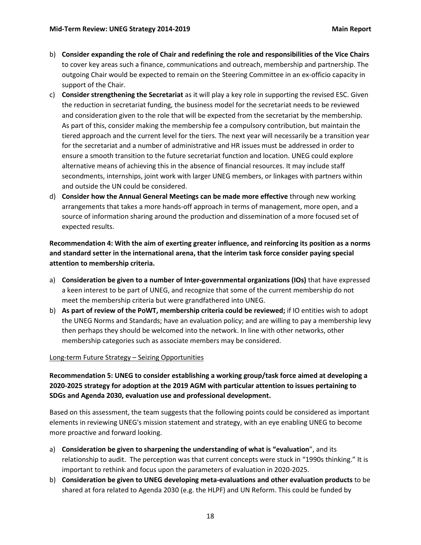- b) **Consider expanding the role of Chair and redefining the role and responsibilities of the Vice Chairs**  to cover key areas such a finance, communications and outreach, membership and partnership. The outgoing Chair would be expected to remain on the Steering Committee in an ex-officio capacity in support of the Chair.
- c) **Consider strengthening the Secretariat** as it will play a key role in supporting the revised ESC. Given the reduction in secretariat funding, the business model for the secretariat needs to be reviewed and consideration given to the role that will be expected from the secretariat by the membership. As part of this, consider making the membership fee a compulsory contribution, but maintain the tiered approach and the current level for the tiers. The next year will necessarily be a transition year for the secretariat and a number of administrative and HR issues must be addressed in order to ensure a smooth transition to the future secretariat function and location. UNEG could explore alternative means of achieving this in the absence of financial resources. It may include staff secondments, internships, joint work with larger UNEG members, or linkages with partners within and outside the UN could be considered.
- d) **Consider how the Annual General Meetings can be made more effective** through new working arrangements that takes a more hands-off approach in terms of management, more open, and a source of information sharing around the production and dissemination of a more focused set of expected results.

**Recommendation 4: With the aim of exerting greater influence, and reinforcing its position as a norms and standard setter in the international arena, that the interim task force consider paying special attention to membership criteria.**

- a) **Consideration be given to a number of Inter-governmental organizations (IOs)** that have expressed a keen interest to be part of UNEG, and recognize that some of the current membership do not meet the membership criteria but were grandfathered into UNEG.
- b) **As part of review of the PoWT, membership criteria could be reviewed;** if IO entities wish to adopt the UNEG Norms and Standards; have an evaluation policy; and are willing to pay a membership levy then perhaps they should be welcomed into the network. In line with other networks, other membership categories such as associate members may be considered.

#### <span id="page-21-0"></span>Long-term Future Strategy – Seizing Opportunities

## **Recommendation 5: UNEG to consider establishing a working group/task force aimed at developing a 2020-2025 strategy for adoption at the 2019 AGM with particular attention to issues pertaining to SDGs and Agenda 2030, evaluation use and professional development.**

Based on this assessment, the team suggests that the following points could be considered as important elements in reviewing UNEG's mission statement and strategy, with an eye enabling UNEG to become more proactive and forward looking.

- a) **Consideration be given to sharpening the understanding of what is "evaluation**", and its relationship to audit. The perception was that current concepts were stuck in "1990s thinking." It is important to rethink and focus upon the parameters of evaluation in 2020-2025.
- b) **Consideration be given to UNEG developing meta-evaluations and other evaluation products** to be shared at fora related to Agenda 2030 (e.g. the HLPF) and UN Reform. This could be funded by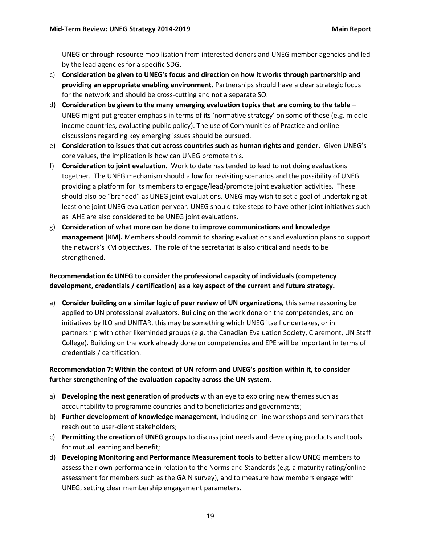UNEG or through resource mobilisation from interested donors and UNEG member agencies and led by the lead agencies for a specific SDG.

- c) **Consideration be given to UNEG's focus and direction on how it works through partnership and providing an appropriate enabling environment.** Partnerships should have a clear strategic focus for the network and should be cross-cutting and not a separate SO.
- d) **Consideration be given to the many emerging evaluation topics that are coming to the table –** UNEG might put greater emphasis in terms of its 'normative strategy' on some of these (e.g. middle income countries, evaluating public policy). The use of Communities of Practice and online discussions regarding key emerging issues should be pursued.
- e) **Consideration to issues that cut across countries such as human rights and gender.** Given UNEG's core values, the implication is how can UNEG promote this.
- f) **Consideration to joint evaluation.** Work to date has tended to lead to not doing evaluations together. The UNEG mechanism should allow for revisiting scenarios and the possibility of UNEG providing a platform for its members to engage/lead/promote joint evaluation activities. These should also be "branded" as UNEG joint evaluations. UNEG may wish to set a goal of undertaking at least one joint UNEG evaluation per year. UNEG should take steps to have other joint initiatives such as IAHE are also considered to be UNEG joint evaluations.
- g) **Consideration of what more can be done to improve communications and knowledge management (KM).** Members should commit to sharing evaluations and evaluation plans to support the network's KM objectives. The role of the secretariat is also critical and needs to be strengthened.

## **Recommendation 6: UNEG to consider the professional capacity of individuals (competency development, credentials / certification) as a key aspect of the current and future strategy.**

a) **Consider building on a similar logic of peer review of UN organizations,** this same reasoning be applied to UN professional evaluators. Building on the work done on the competencies, and on initiatives by ILO and UNITAR, this may be something which UNEG itself undertakes, or in partnership with other likeminded groups (e.g. the Canadian Evaluation Society, Claremont, UN Staff College). Building on the work already done on competencies and EPE will be important in terms of credentials / certification.

## **Recommendation 7: Within the context of UN reform and UNEG's position within it, to consider further strengthening of the evaluation capacity across the UN system.**

- a) **Developing the next generation of products** with an eye to exploring new themes such as accountability to programme countries and to beneficiaries and governments;
- b) **Further development of knowledge management**, including on-line workshops and seminars that reach out to user-client stakeholders;
- c) **Permitting the creation of UNEG groups** to discuss joint needs and developing products and tools for mutual learning and benefit;
- d) **Developing Monitoring and Performance Measurement tools** to better allow UNEG members to assess their own performance in relation to the Norms and Standards (e.g. a maturity rating/online assessment for members such as the GAIN survey), and to measure how members engage with UNEG, setting clear membership engagement parameters.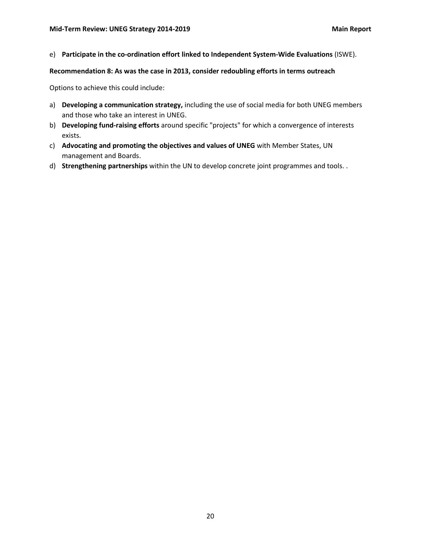e) **Participate in the co-ordination effort linked to Independent System-Wide Evaluations** (ISWE).

#### **Recommendation 8: As was the case in 2013, consider redoubling efforts in terms outreach**

Options to achieve this could include:

- a) **Developing a communication strategy,** including the use of social media for both UNEG members and those who take an interest in UNEG.
- b) **Developing fund-raising efforts** around specific "projects" for which a convergence of interests exists.
- c) **Advocating and promoting the objectives and values of UNEG** with Member States, UN management and Boards.
- d) **Strengthening partnerships** within the UN to develop concrete joint programmes and tools. .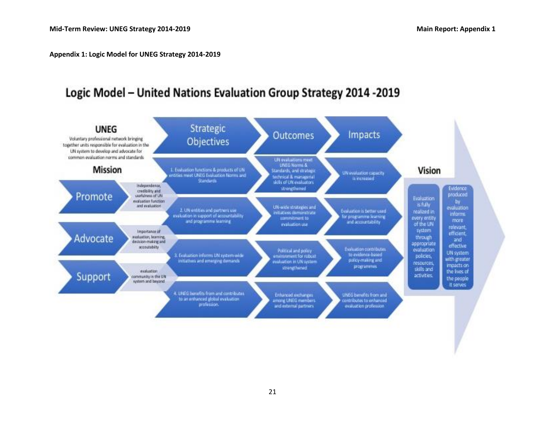**Appendix 1: Logic Model for UNEG Strategy 2014-2019**

# Logic Model - United Nations Evaluation Group Strategy 2014 -2019

<span id="page-24-0"></span>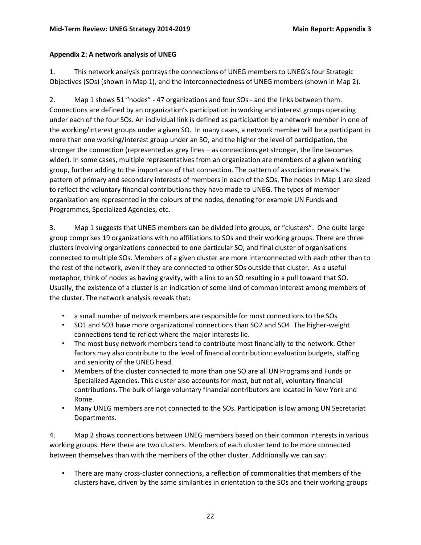## <span id="page-25-0"></span>**Appendix 2: A network analysis of UNEG**

1. This network analysis portrays the connections of UNEG members to UNEG's four Strategic Objectives (SOs) (shown in Map 1), and the interconnectedness of UNEG members (shown in Map 2).

2. Map 1 shows 51 "nodes" - 47 organizations and four SOs - and the links between them. Connections are defined by an organization's participation in working and interest groups operating under each of the four SOs. An individual link is defined as participation by a network member in one of the working/interest groups under a given SO. In many cases, a network member will be a participant in more than one working/interest group under an SO, and the higher the level of participation, the stronger the connection (represented as grey lines – as connections get stronger, the line becomes wider). In some cases, multiple representatives from an organization are members of a given working group, further adding to the importance of that connection. The pattern of association reveals the pattern of primary and secondary interests of members in each of the SOs. The nodes in Map 1 are sized to reflect the voluntary financial contributions they have made to UNEG. The types of member organization are represented in the colours of the nodes, denoting for example UN Funds and Programmes, Specialized Agencies, etc.

3. Map 1 suggests that UNEG members can be divided into groups, or "clusters". One quite large group comprises 19 organizations with no affiliations to SOs and their working groups. There are three clusters involving organizations connected to one particular SO, and final cluster of organisations connected to multiple SOs. Members of a given cluster are more interconnected with each other than to the rest of the network, even if they are connected to other SOs outside that cluster. As a useful metaphor, think of nodes as having gravity, with a link to an SO resulting in a pull toward that SO. Usually, the existence of a cluster is an indication of some kind of common interest among members of the cluster. The network analysis reveals that:

- a small number of network members are responsible for most connections to the SOs
- SO1 and SO3 have more organizational connections than SO2 and SO4. The higher-weight connections tend to reflect where the major interests lie.
- The most busy network members tend to contribute most financially to the network. Other factors may also contribute to the level of financial contribution: evaluation budgets, staffing and seniority of the UNEG head.
- Members of the cluster connected to more than one SO are all UN Programs and Funds or Specialized Agencies. This cluster also accounts for most, but not all, voluntary financial contributions. The bulk of large voluntary financial contributors are located in New York and Rome.
- Many UNEG members are not connected to the SOs. Participation is low among UN Secretariat Departments.

4. Map 2 shows connections between UNEG members based on their common interests in various working groups. Here there are two clusters. Members of each cluster tend to be more connected between themselves than with the members of the other cluster. Additionally we can say:

• There are many cross-cluster connections, a reflection of commonalities that members of the clusters have, driven by the same similarities in orientation to the SOs and their working groups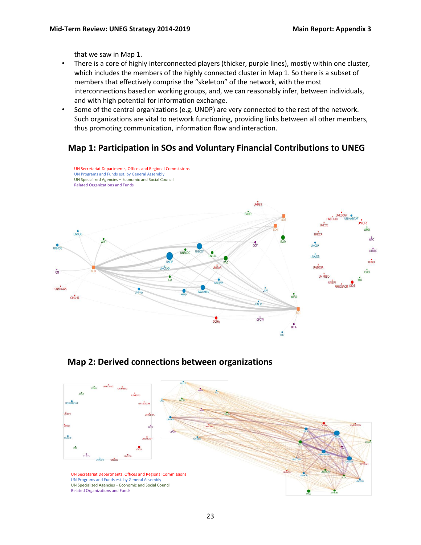that we saw in Map 1.

- There is a core of highly interconnected players (thicker, purple lines), mostly within one cluster, which includes the members of the highly connected cluster in Map 1. So there is a subset of members that effectively comprise the "skeleton" of the network, with the most interconnections based on working groups, and, we can reasonably infer, between individuals, and with high potential for information exchange.
- Some of the central organizations (e.g. UNDP) are very connected to the rest of the network. Such organizations are vital to network functioning, providing links between all other members, thus promoting communication, information flow and interaction.

# **Map 1: Participation in SOs and Voluntary Financial Contributions to UNEG**



## **Map 2: Derived connections between organizations**

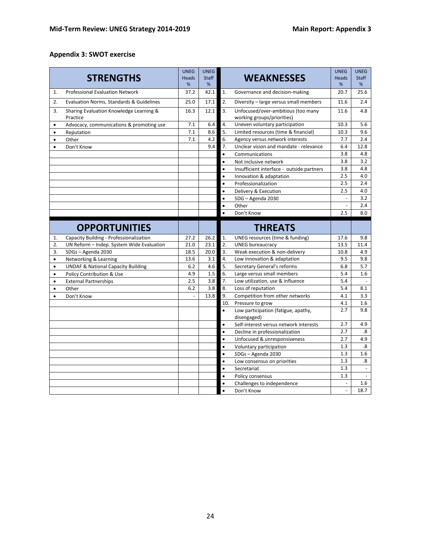## <span id="page-27-0"></span>**Appendix 3: SWOT exercise**

| <b>STRENGTHS</b>                                           |                                           | <b>UNEG</b>       | UNEG              |           |                                                                  | <b>UNEG</b><br><b>Heads</b> | <b>UNEG</b>             |
|------------------------------------------------------------|-------------------------------------------|-------------------|-------------------|-----------|------------------------------------------------------------------|-----------------------------|-------------------------|
|                                                            |                                           | <b>Heads</b><br>% | <b>Staff</b><br>% |           | <b>WEAKNESSES</b>                                                |                             | <b>Staff</b><br>%       |
| <b>Professional Evaluation Network</b><br>1.               |                                           | 37.2              | 42.1              | 1.        | Governance and decision-making                                   | %<br>20.7                   | 25.6                    |
| 2.                                                         |                                           |                   | 17.1              | 2.        | Diversity - large versus small members                           | 11.6                        | 2.4                     |
| Evaluation Norms, Standards & Guidelines                   |                                           | 25.0              |                   |           |                                                                  |                             |                         |
| 3.<br>Sharing Evaluation Knowledge Learning &<br>Practice  |                                           | 16.3              | 12.1              | 3.        | Unfocused/over-ambitious (too many<br>working groups/priorities) | 11.6                        | 4.8                     |
| $\bullet$                                                  | Advocacy, communications & promoting use  |                   | 6.4               | 4.        | Uneven voluntary participation                                   | 10.3                        | 5.6                     |
| Reputation<br>$\bullet$                                    |                                           | 7.1               | 8.6               | 5.        | Limited resources (time & financial)                             | 10.3                        | 9.6                     |
| $\bullet$                                                  | Other                                     | 7.1               | 4.2               | 6.        | Agency versus network interests                                  | 7.7                         | 2.4                     |
| $\bullet$                                                  | Don't Know                                |                   | 9.4               | 7.        | Unclear vision and mandate - relevance                           | 6.4                         | 12.8                    |
|                                                            |                                           |                   |                   | $\bullet$ | Communications                                                   | 3.8                         | 4.8                     |
|                                                            |                                           |                   |                   | $\bullet$ | Not inclusive network                                            | 3.8                         | 3.2                     |
|                                                            |                                           |                   |                   | $\bullet$ | Insufficient interface - outside partners                        | 3.8                         | 4.8                     |
|                                                            |                                           |                   |                   | $\bullet$ | Innovation & adaptation                                          | 2.5                         | 4.0                     |
|                                                            |                                           |                   |                   | $\bullet$ | Professionalization                                              | 2.5                         | 2.4                     |
|                                                            |                                           |                   |                   | $\bullet$ | Delivery & Execution                                             | 2.5                         | 4.0                     |
|                                                            |                                           |                   |                   | $\bullet$ | SDG - Agenda 2030                                                | ÷                           | 3.2                     |
|                                                            |                                           |                   |                   | $\bullet$ | Other                                                            |                             | 2.4                     |
|                                                            |                                           |                   |                   |           | Don't Know                                                       | 2.5                         | 8.0                     |
|                                                            | <b>OPPORTUNITIES</b>                      |                   |                   |           | <b>THREATS</b>                                                   |                             |                         |
| 1.                                                         | Capacity Building - Professionalization   | 27.2              | 26.2              | 1.        | UNEG resources (time & funding)                                  | 17.6                        | 9.8                     |
| 2.                                                         | UN Reform - Indep. System Wide Evaluation | 21.0<br>18.5      | 23.1              | 2.        | <b>UNEG bureaucracy</b>                                          | 13.5                        | 11.4                    |
|                                                            | 3.<br>SDGs - Agenda 2030                  |                   | 20.0              | 3.        | Weak execution & non-delivery                                    | 10.8                        | 4.9                     |
| Networking & Learning<br>$\bullet$                         |                                           | 13.6              | 3.1               | 4.        | Low innovation & adaptation                                      | 9.5                         | 9.8                     |
| <b>UNDAF &amp; National Capacity Building</b><br>$\bullet$ |                                           | 6.2               | 4.6               | 5.        | Secretary General's reforms                                      | 6.8                         | 5.7                     |
| Policy Contribution & Use<br>$\bullet$                     |                                           | 4.9               | 1.5               | 6.        | Large versus small members                                       | 5.4                         | 1.6                     |
| <b>External Partnerships</b><br>$\bullet$                  |                                           | 2.5               | 3.8               | 7.        | Low utilization, use & influence                                 | 5.4                         |                         |
| $\bullet$                                                  | Other                                     | 6.2               | 3.8               | 8.        | Loss of reputation                                               | 5.4                         | 8.1                     |
|                                                            | Don't Know                                | L,                | 13.8              | 9.        | Competition from other networks                                  | 4.1                         | 3.3                     |
|                                                            |                                           |                   |                   | 10.       | Pressure to grow                                                 | 4.1                         | 1.6                     |
|                                                            |                                           |                   |                   | $\bullet$ | Low participation (fatigue, apathy,<br>disengaged)               | 2.7                         | 9.8                     |
|                                                            |                                           |                   |                   | $\bullet$ | Self-interest versus network interests                           | 2.7                         | 4.9                     |
|                                                            |                                           |                   |                   | $\bullet$ | Decline in professionalization                                   | 2.7                         | .8                      |
|                                                            |                                           |                   |                   | $\bullet$ | Unfocused & unresponsiveness                                     | 2.7                         | 4.9                     |
|                                                            |                                           |                   |                   | $\bullet$ | Voluntary participation                                          | 1.3                         | $\boldsymbol{.8}$       |
|                                                            |                                           |                   |                   | $\bullet$ | SDGs - Agenda 2030                                               | 1.3                         | 1.6                     |
|                                                            |                                           |                   |                   | $\bullet$ | Low consensus on priorities                                      | 1.3                         | $\overline{\mathbf{8}}$ |
|                                                            |                                           |                   |                   | $\bullet$ | Secretariat                                                      | 1.3                         |                         |
|                                                            |                                           |                   |                   | $\bullet$ | Policy consensus                                                 | 1.3                         |                         |
|                                                            |                                           |                   |                   | $\bullet$ | Challenges to independence                                       | $\Box$                      | 1.6                     |
|                                                            |                                           |                   |                   | $\bullet$ | Don't Know                                                       | $\omega$                    | 18.7                    |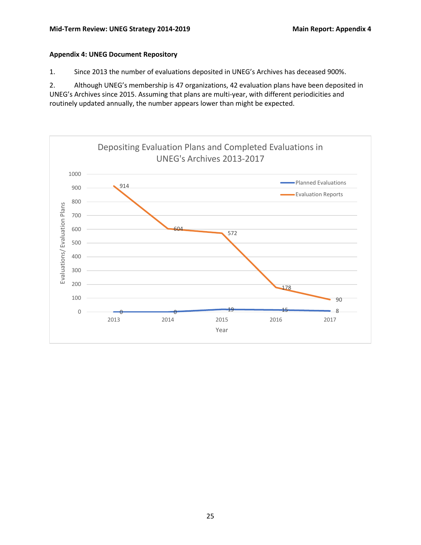#### <span id="page-28-0"></span>**Appendix 4: UNEG Document Repository**

1. Since 2013 the number of evaluations deposited in UNEG's Archives has deceased 900%.

2. Although UNEG's membership is 47 organizations, 42 evaluation plans have been deposited in UNEG's Archives since 2015. Assuming that plans are multi-year, with different periodicities and routinely updated annually, the number appears lower than might be expected.